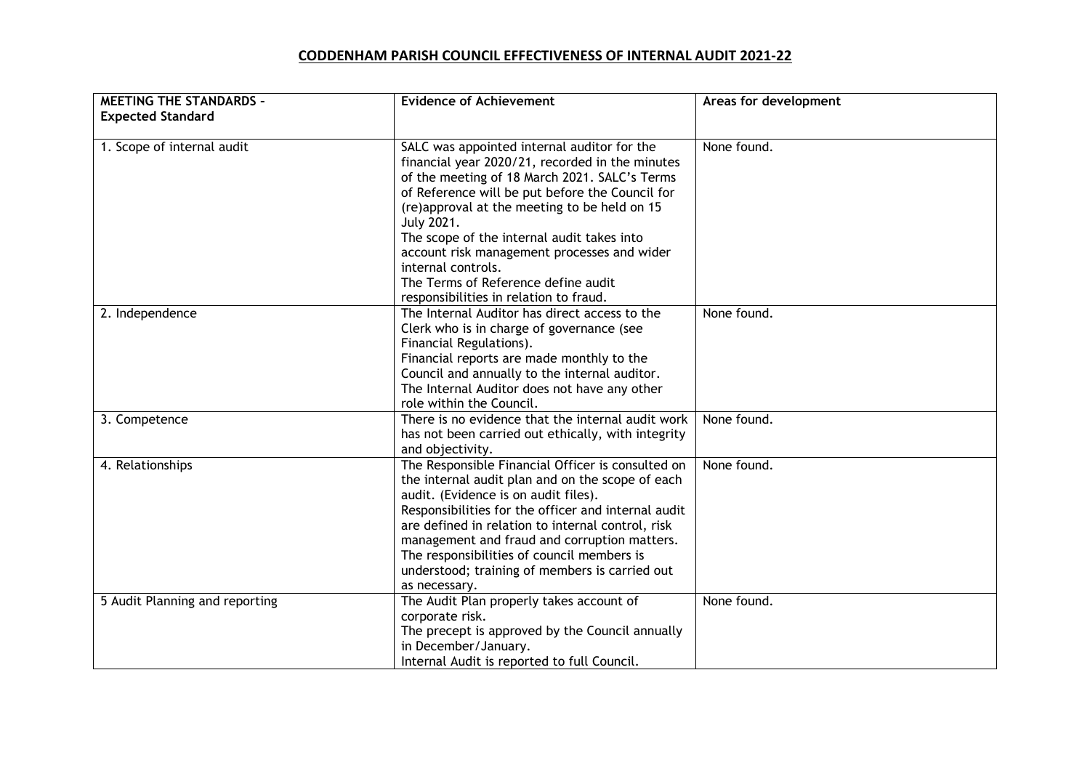## **CODDENHAM PARISH COUNCIL EFFECTIVENESS OF INTERNAL AUDIT 2021-22**

| <b>MEETING THE STANDARDS -</b> | <b>Evidence of Achievement</b>                                                                                                                                                                                                                                                                                                                                                                                                                                       | Areas for development |
|--------------------------------|----------------------------------------------------------------------------------------------------------------------------------------------------------------------------------------------------------------------------------------------------------------------------------------------------------------------------------------------------------------------------------------------------------------------------------------------------------------------|-----------------------|
| <b>Expected Standard</b>       |                                                                                                                                                                                                                                                                                                                                                                                                                                                                      |                       |
| 1. Scope of internal audit     | SALC was appointed internal auditor for the<br>financial year 2020/21, recorded in the minutes<br>of the meeting of 18 March 2021. SALC's Terms<br>of Reference will be put before the Council for<br>(re)approval at the meeting to be held on 15<br>July 2021.<br>The scope of the internal audit takes into<br>account risk management processes and wider<br>internal controls.<br>The Terms of Reference define audit<br>responsibilities in relation to fraud. | None found.           |
| 2. Independence                | The Internal Auditor has direct access to the<br>Clerk who is in charge of governance (see<br>Financial Regulations).<br>Financial reports are made monthly to the<br>Council and annually to the internal auditor.<br>The Internal Auditor does not have any other<br>role within the Council.                                                                                                                                                                      | None found.           |
| 3. Competence                  | There is no evidence that the internal audit work<br>has not been carried out ethically, with integrity<br>and objectivity.                                                                                                                                                                                                                                                                                                                                          | None found.           |
| 4. Relationships               | The Responsible Financial Officer is consulted on<br>the internal audit plan and on the scope of each<br>audit. (Evidence is on audit files).<br>Responsibilities for the officer and internal audit<br>are defined in relation to internal control, risk<br>management and fraud and corruption matters.<br>The responsibilities of council members is<br>understood; training of members is carried out<br>as necessary.                                           | None found.           |
| 5 Audit Planning and reporting | The Audit Plan properly takes account of<br>corporate risk.<br>The precept is approved by the Council annually<br>in December/January.<br>Internal Audit is reported to full Council.                                                                                                                                                                                                                                                                                | None found.           |